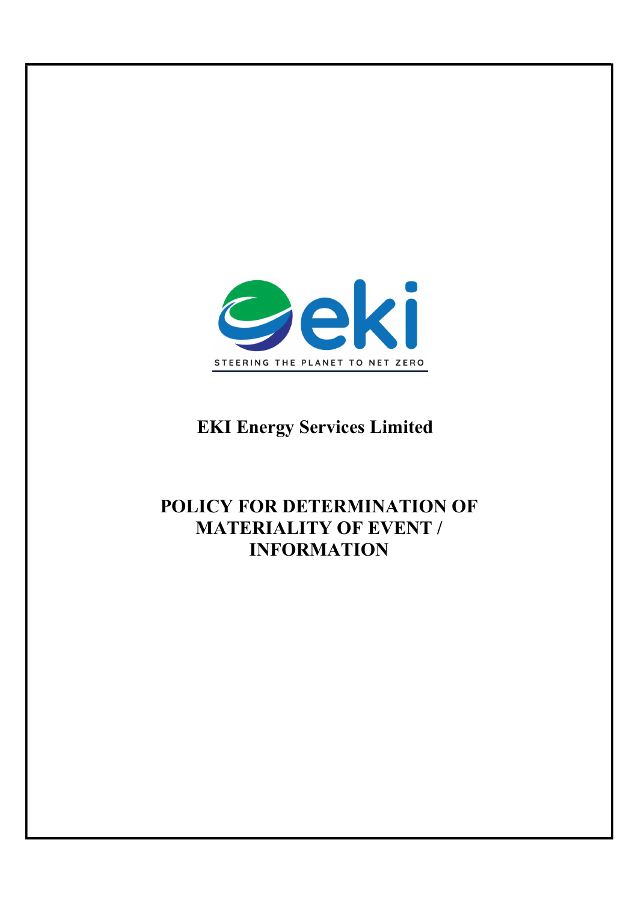

# EKI Energy Services Limited

## POLICY FOR DETERMINATION OF MATERIALITY OF EVENT / INFORMATION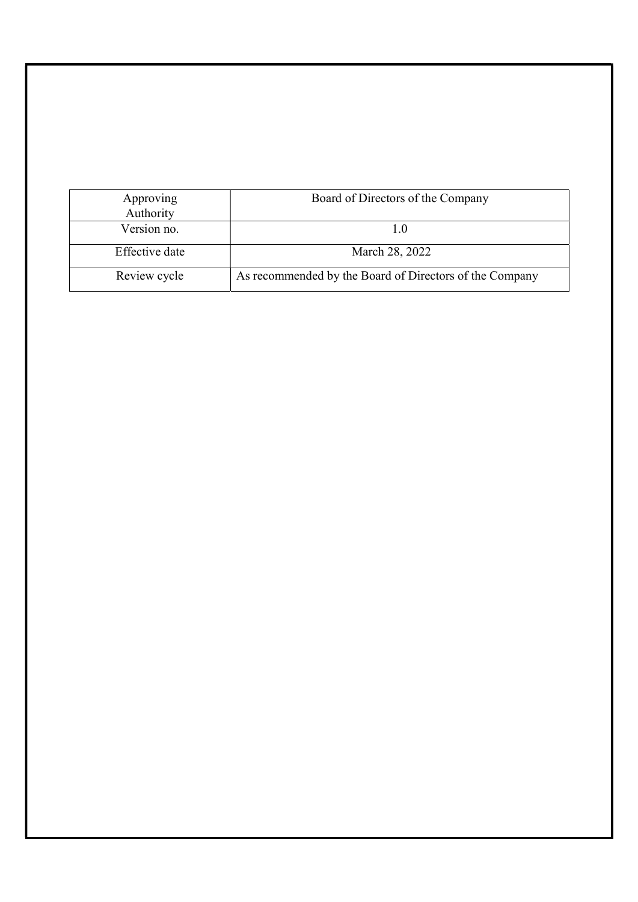| Approving<br>Authority | Board of Directors of the Company                       |
|------------------------|---------------------------------------------------------|
| Version no.            |                                                         |
| Effective date         | March 28, 2022                                          |
| Review cycle           | As recommended by the Board of Directors of the Company |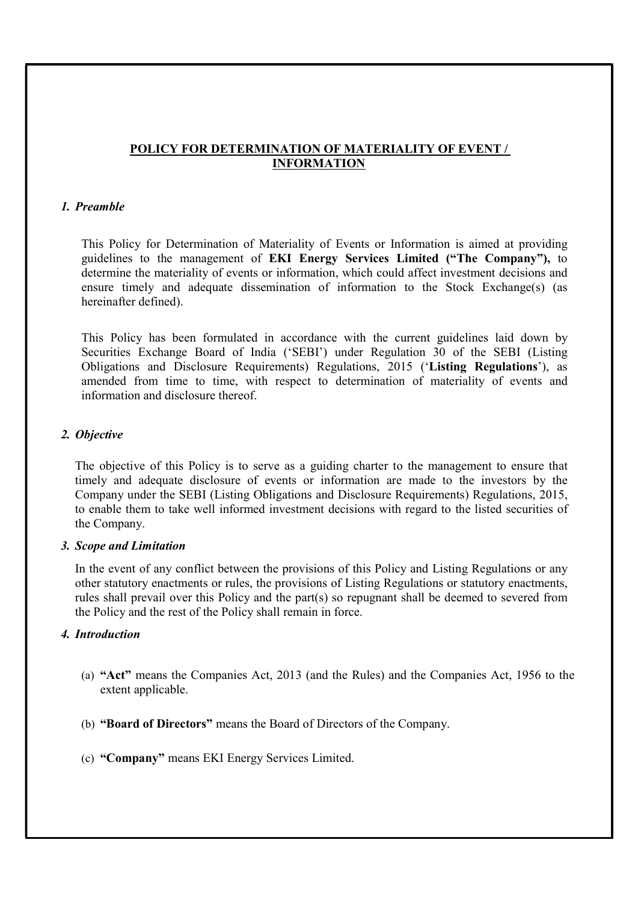### POLICY FOR DETERMINATION OF MATERIALITY OF EVENT / INFORMATION

### 1. Preamble

This Policy for Determination of Materiality of Events or Information is aimed at providing guidelines to the management of EKI Energy Services Limited ("The Company"), to determine the materiality of events or information, which could affect investment decisions and ensure timely and adequate dissemination of information to the Stock Exchange(s) (as hereinafter defined).

This Policy has been formulated in accordance with the current guidelines laid down by Securities Exchange Board of India ('SEBI') under Regulation 30 of the SEBI (Listing Obligations and Disclosure Requirements) Regulations, 2015 ('Listing Regulations'), as amended from time to time, with respect to determination of materiality of events and information and disclosure thereof.

#### 2. Objective

The objective of this Policy is to serve as a guiding charter to the management to ensure that timely and adequate disclosure of events or information are made to the investors by the Company under the SEBI (Listing Obligations and Disclosure Requirements) Regulations, 2015, to enable them to take well informed investment decisions with regard to the listed securities of the Company.

#### 3. Scope and Limitation

In the event of any conflict between the provisions of this Policy and Listing Regulations or any other statutory enactments or rules, the provisions of Listing Regulations or statutory enactments, rules shall prevail over this Policy and the part(s) so repugnant shall be deemed to severed from the Policy and the rest of the Policy shall remain in force.

### 4. Introduction

- (a) "Act" means the Companies Act, 2013 (and the Rules) and the Companies Act, 1956 to the extent applicable.
- (b) "Board of Directors" means the Board of Directors of the Company.
- (c) "Company" means EKI Energy Services Limited.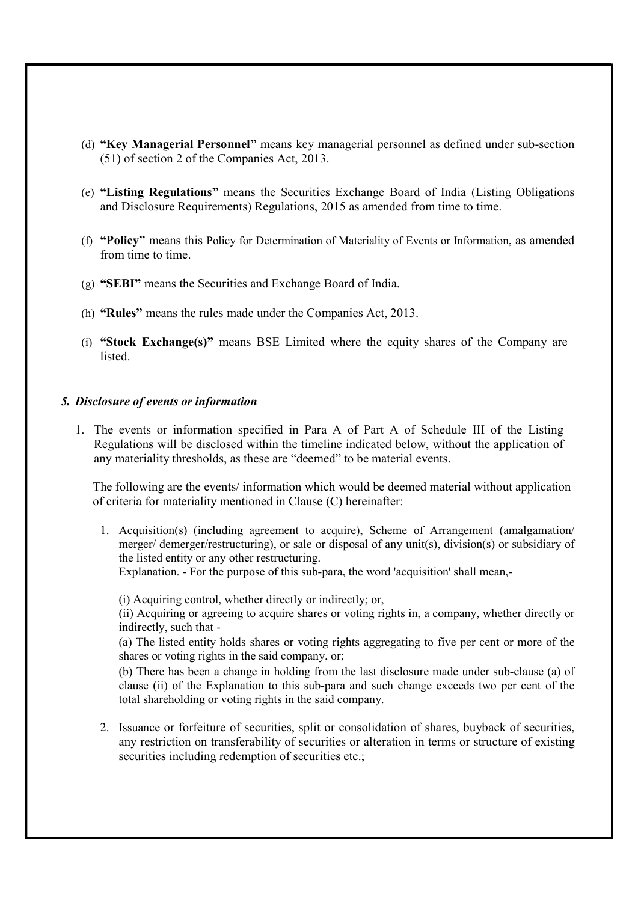- (d) "Key Managerial Personnel" means key managerial personnel as defined under sub-section (51) of section 2 of the Companies Act, 2013.
- (e) "Listing Regulations" means the Securities Exchange Board of India (Listing Obligations and Disclosure Requirements) Regulations, 2015 as amended from time to time.
- (f) "Policy" means this Policy for Determination of Materiality of Events or Information, as amended from time to time.
- (g) "SEBI" means the Securities and Exchange Board of India.
- (h) "Rules" means the rules made under the Companies Act, 2013.
- (i) "Stock Exchange(s)" means BSE Limited where the equity shares of the Company are listed.

#### 5. Disclosure of events or information

1. The events or information specified in Para A of Part A of Schedule III of the Listing Regulations will be disclosed within the timeline indicated below, without the application of any materiality thresholds, as these are "deemed" to be material events.

The following are the events/ information which would be deemed material without application of criteria for materiality mentioned in Clause (C) hereinafter:

1. Acquisition(s) (including agreement to acquire), Scheme of Arrangement (amalgamation/ merger/ demerger/restructuring), or sale or disposal of any unit(s), division(s) or subsidiary of the listed entity or any other restructuring.

Explanation. - For the purpose of this sub-para, the word 'acquisition' shall mean,-

(i) Acquiring control, whether directly or indirectly; or,

(ii) Acquiring or agreeing to acquire shares or voting rights in, a company, whether directly or indirectly, such that -

(a) The listed entity holds shares or voting rights aggregating to five per cent or more of the shares or voting rights in the said company, or;

(b) There has been a change in holding from the last disclosure made under sub-clause (a) of clause (ii) of the Explanation to this sub-para and such change exceeds two per cent of the total shareholding or voting rights in the said company.

2. Issuance or forfeiture of securities, split or consolidation of shares, buyback of securities, any restriction on transferability of securities or alteration in terms or structure of existing securities including redemption of securities etc.;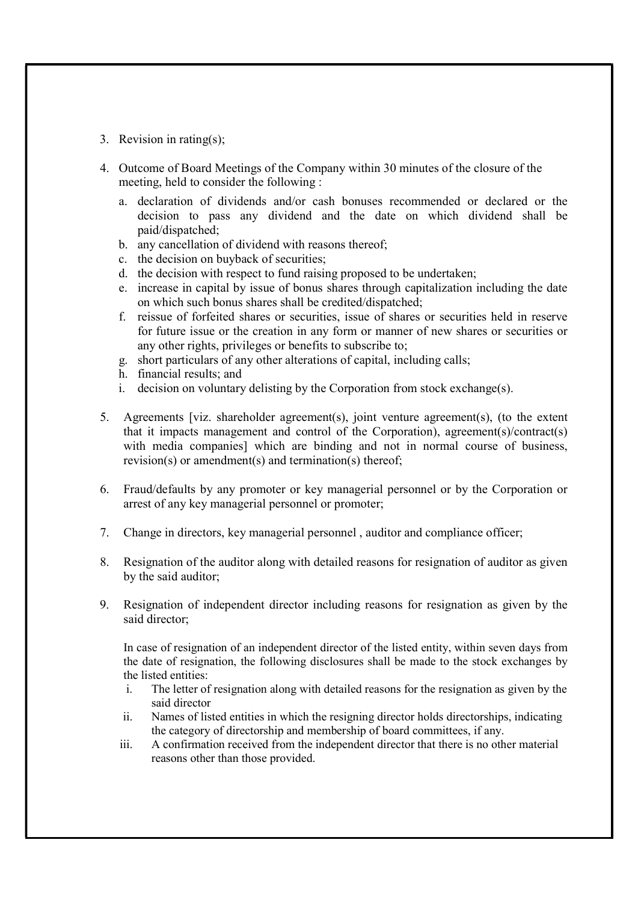- 3. Revision in rating(s);
- 4. Outcome of Board Meetings of the Company within 30 minutes of the closure of the meeting, held to consider the following :
	- a. declaration of dividends and/or cash bonuses recommended or declared or the decision to pass any dividend and the date on which dividend shall be paid/dispatched;
	- b. any cancellation of dividend with reasons thereof;
	- c. the decision on buyback of securities;
	- d. the decision with respect to fund raising proposed to be undertaken;
	- e. increase in capital by issue of bonus shares through capitalization including the date on which such bonus shares shall be credited/dispatched;
	- f. reissue of forfeited shares or securities, issue of shares or securities held in reserve for future issue or the creation in any form or manner of new shares or securities or any other rights, privileges or benefits to subscribe to;
	- g. short particulars of any other alterations of capital, including calls;
	- h. financial results; and
	- i. decision on voluntary delisting by the Corporation from stock exchange(s).
- 5. Agreements [viz. shareholder agreement(s), joint venture agreement(s), (to the extent that it impacts management and control of the Corporation), agreement(s)/contract(s) with media companies] which are binding and not in normal course of business, revision(s) or amendment(s) and termination(s) thereof;
- 6. Fraud/defaults by any promoter or key managerial personnel or by the Corporation or arrest of any key managerial personnel or promoter;
- 7. Change in directors, key managerial personnel , auditor and compliance officer;
- 8. Resignation of the auditor along with detailed reasons for resignation of auditor as given by the said auditor;
- 9. Resignation of independent director including reasons for resignation as given by the said director;

In case of resignation of an independent director of the listed entity, within seven days from the date of resignation, the following disclosures shall be made to the stock exchanges by the listed entities:

- i. The letter of resignation along with detailed reasons for the resignation as given by the said director
- ii. Names of listed entities in which the resigning director holds directorships, indicating the category of directorship and membership of board committees, if any.
- iii. A confirmation received from the independent director that there is no other material reasons other than those provided.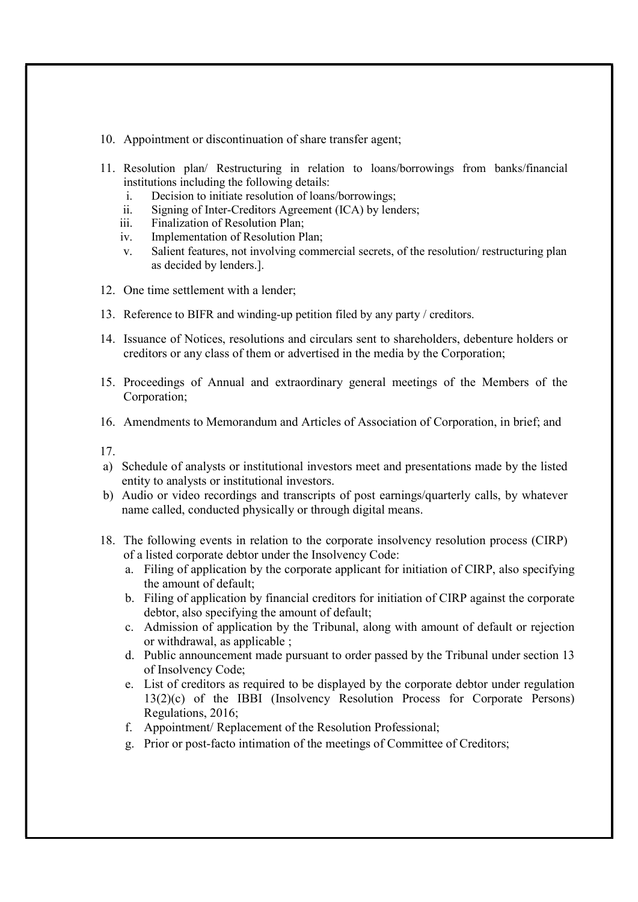- 10. Appointment or discontinuation of share transfer agent;
- 11. Resolution plan/ Restructuring in relation to loans/borrowings from banks/financial institutions including the following details:
	- i. Decision to initiate resolution of loans/borrowings;
	- ii. Signing of Inter-Creditors Agreement (ICA) by lenders;
	- iii. Finalization of Resolution Plan;
	- iv. Implementation of Resolution Plan;
	- v. Salient features, not involving commercial secrets, of the resolution/ restructuring plan as decided by lenders.].
- 12. One time settlement with a lender;
- 13. Reference to BIFR and winding-up petition filed by any party / creditors.
- 14. Issuance of Notices, resolutions and circulars sent to shareholders, debenture holders or creditors or any class of them or advertised in the media by the Corporation;
- 15. Proceedings of Annual and extraordinary general meetings of the Members of the Corporation;
- 16. Amendments to Memorandum and Articles of Association of Corporation, in brief; and
- 17.
- a) Schedule of analysts or institutional investors meet and presentations made by the listed entity to analysts or institutional investors.
- b) Audio or video recordings and transcripts of post earnings/quarterly calls, by whatever name called, conducted physically or through digital means.
- 18. The following events in relation to the corporate insolvency resolution process (CIRP) of a listed corporate debtor under the Insolvency Code:
	- a. Filing of application by the corporate applicant for initiation of CIRP, also specifying the amount of default;
	- b. Filing of application by financial creditors for initiation of CIRP against the corporate debtor, also specifying the amount of default;
	- c. Admission of application by the Tribunal, along with amount of default or rejection or withdrawal, as applicable ;
	- d. Public announcement made pursuant to order passed by the Tribunal under section 13 of Insolvency Code;
	- e. List of creditors as required to be displayed by the corporate debtor under regulation 13(2)(c) of the IBBI (Insolvency Resolution Process for Corporate Persons) Regulations, 2016;
	- f. Appointment/ Replacement of the Resolution Professional;
	- g. Prior or post-facto intimation of the meetings of Committee of Creditors;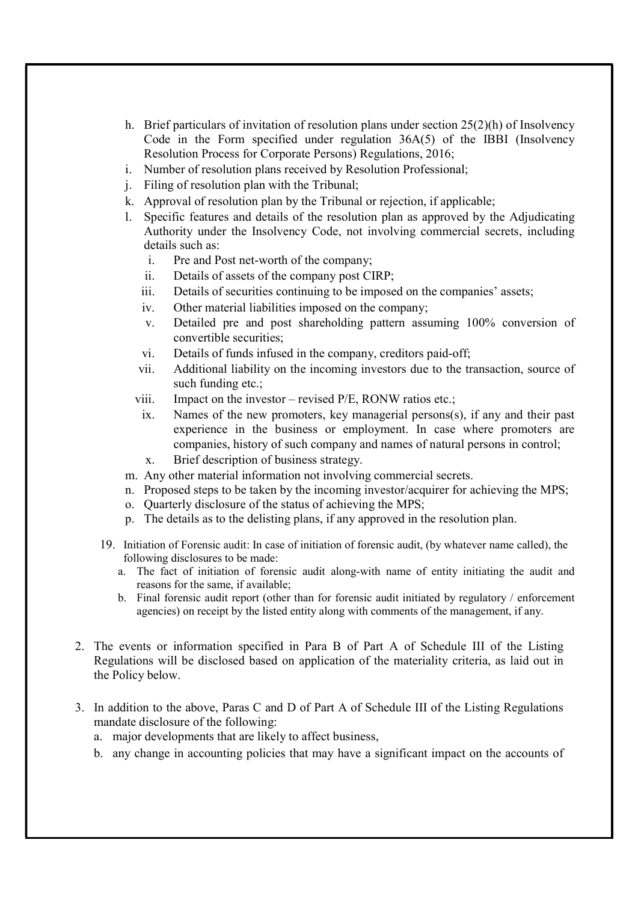- h. Brief particulars of invitation of resolution plans under section 25(2)(h) of Insolvency Code in the Form specified under regulation 36A(5) of the IBBI (Insolvency Resolution Process for Corporate Persons) Regulations, 2016;
- i. Number of resolution plans received by Resolution Professional;
- j. Filing of resolution plan with the Tribunal;
- k. Approval of resolution plan by the Tribunal or rejection, if applicable;
- l. Specific features and details of the resolution plan as approved by the Adjudicating Authority under the Insolvency Code, not involving commercial secrets, including details such as:
	- i. Pre and Post net-worth of the company;
	- ii. Details of assets of the company post CIRP;
	- iii. Details of securities continuing to be imposed on the companies' assets;
	- iv. Other material liabilities imposed on the company;
	- v. Detailed pre and post shareholding pattern assuming 100% conversion of convertible securities;
	- vi. Details of funds infused in the company, creditors paid-off;
	- vii. Additional liability on the incoming investors due to the transaction, source of such funding etc.;
	- viii. Impact on the investor revised P/E, RONW ratios etc.;
	- ix. Names of the new promoters, key managerial persons(s), if any and their past experience in the business or employment. In case where promoters are companies, history of such company and names of natural persons in control;
	- x. Brief description of business strategy.
- m. Any other material information not involving commercial secrets.
- n. Proposed steps to be taken by the incoming investor/acquirer for achieving the MPS;
- o. Quarterly disclosure of the status of achieving the MPS;
- p. The details as to the delisting plans, if any approved in the resolution plan.
- 19. Initiation of Forensic audit: In case of initiation of forensic audit, (by whatever name called), the following disclosures to be made:
	- a. The fact of initiation of forensic audit along-with name of entity initiating the audit and reasons for the same, if available;
	- b. Final forensic audit report (other than for forensic audit initiated by regulatory / enforcement agencies) on receipt by the listed entity along with comments of the management, if any.
- 2. The events or information specified in Para B of Part A of Schedule III of the Listing Regulations will be disclosed based on application of the materiality criteria, as laid out in the Policy below.
- 3. In addition to the above, Paras C and D of Part A of Schedule III of the Listing Regulations mandate disclosure of the following:
	- a. major developments that are likely to affect business,
	- b. any change in accounting policies that may have a significant impact on the accounts of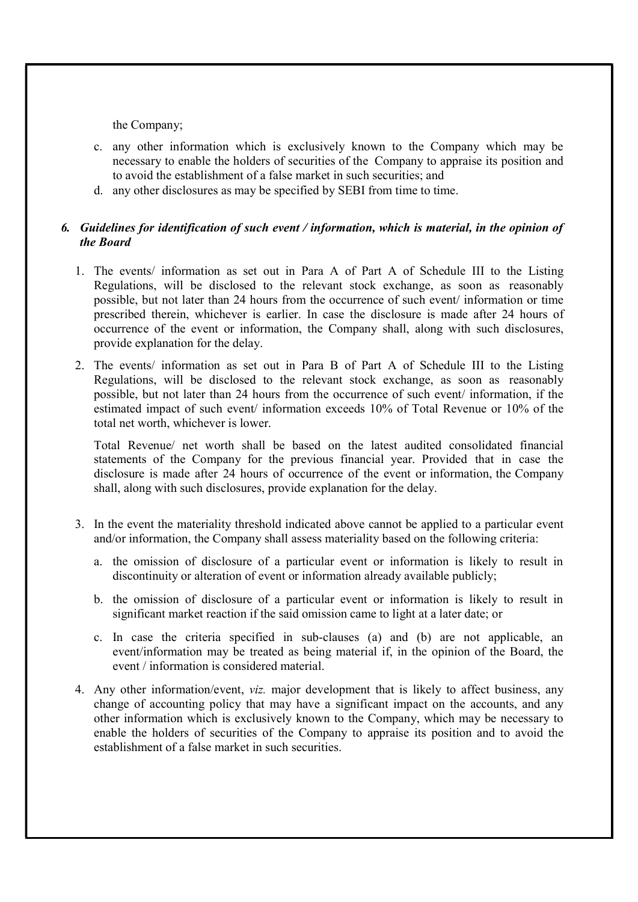the Company;

- c. any other information which is exclusively known to the Company which may be necessary to enable the holders of securities of the Company to appraise its position and to avoid the establishment of a false market in such securities; and
- d. any other disclosures as may be specified by SEBI from time to time.

## 6. Guidelines for identification of such event / information, which is material, in the opinion of the Board

- 1. The events/ information as set out in Para A of Part A of Schedule III to the Listing Regulations, will be disclosed to the relevant stock exchange, as soon as reasonably possible, but not later than 24 hours from the occurrence of such event/ information or time prescribed therein, whichever is earlier. In case the disclosure is made after 24 hours of occurrence of the event or information, the Company shall, along with such disclosures, provide explanation for the delay.
- 2. The events/ information as set out in Para B of Part A of Schedule III to the Listing Regulations, will be disclosed to the relevant stock exchange, as soon as reasonably possible, but not later than 24 hours from the occurrence of such event/ information, if the estimated impact of such event/ information exceeds 10% of Total Revenue or 10% of the total net worth, whichever is lower.

Total Revenue/ net worth shall be based on the latest audited consolidated financial statements of the Company for the previous financial year. Provided that in case the disclosure is made after 24 hours of occurrence of the event or information, the Company shall, along with such disclosures, provide explanation for the delay.

- 3. In the event the materiality threshold indicated above cannot be applied to a particular event and/or information, the Company shall assess materiality based on the following criteria:
	- a. the omission of disclosure of a particular event or information is likely to result in discontinuity or alteration of event or information already available publicly;
	- b. the omission of disclosure of a particular event or information is likely to result in significant market reaction if the said omission came to light at a later date; or
	- c. In case the criteria specified in sub-clauses (a) and (b) are not applicable, an event/information may be treated as being material if, in the opinion of the Board, the event / information is considered material.
- 4. Any other information/event, viz. major development that is likely to affect business, any change of accounting policy that may have a significant impact on the accounts, and any other information which is exclusively known to the Company, which may be necessary to enable the holders of securities of the Company to appraise its position and to avoid the establishment of a false market in such securities.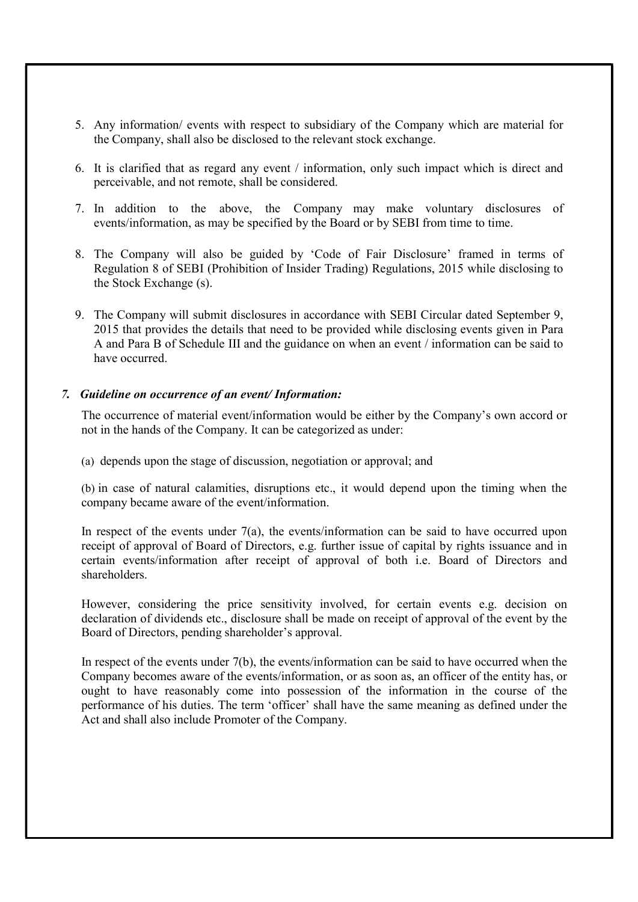- 5. Any information/ events with respect to subsidiary of the Company which are material for the Company, shall also be disclosed to the relevant stock exchange.
- 6. It is clarified that as regard any event / information, only such impact which is direct and perceivable, and not remote, shall be considered.
- 7. In addition to the above, the Company may make voluntary disclosures of events/information, as may be specified by the Board or by SEBI from time to time.
- 8. The Company will also be guided by 'Code of Fair Disclosure' framed in terms of Regulation 8 of SEBI (Prohibition of Insider Trading) Regulations, 2015 while disclosing to the Stock Exchange (s).
- 9. The Company will submit disclosures in accordance with SEBI Circular dated September 9, 2015 that provides the details that need to be provided while disclosing events given in Para A and Para B of Schedule III and the guidance on when an event / information can be said to have occurred.

#### 7. Guideline on occurrence of an event/ Information:

The occurrence of material event/information would be either by the Company's own accord or not in the hands of the Company. It can be categorized as under:

(a) depends upon the stage of discussion, negotiation or approval; and

(b) in case of natural calamities, disruptions etc., it would depend upon the timing when the company became aware of the event/information.

In respect of the events under  $7(a)$ , the events/information can be said to have occurred upon receipt of approval of Board of Directors, e.g. further issue of capital by rights issuance and in certain events/information after receipt of approval of both i.e. Board of Directors and shareholders.

However, considering the price sensitivity involved, for certain events e.g. decision on declaration of dividends etc., disclosure shall be made on receipt of approval of the event by the Board of Directors, pending shareholder's approval.

In respect of the events under 7(b), the events/information can be said to have occurred when the Company becomes aware of the events/information, or as soon as, an officer of the entity has, or ought to have reasonably come into possession of the information in the course of the performance of his duties. The term 'officer' shall have the same meaning as defined under the Act and shall also include Promoter of the Company.